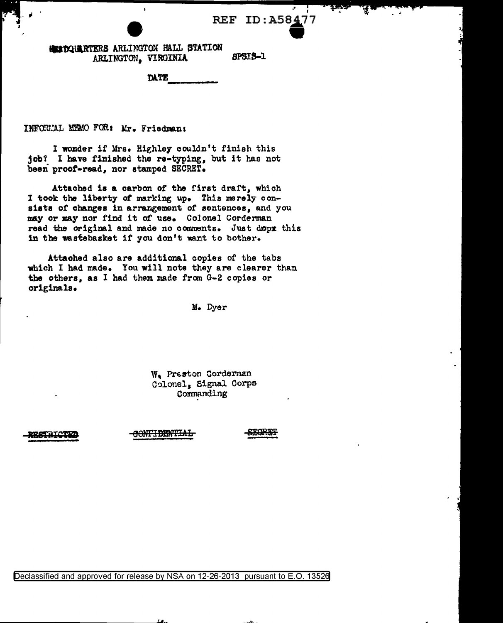## REF ID: A58477

..

**EXEDQUARTERS ARLINGTON HALL STATION • SPSIS-1** ARLINGTON, VIRGINIA SPSIS-1<br>DATE

INFORLAL MEMO FOR: Mr. Friedman:

I wonder if Mrs. Highley couldn't finish this job? I have finished the re-typing, but it has not been proof-read, nor stamped SECRET.

Attached is a carbon or the first draft, which I took the liberty of marking up. This merely consists of changes in arrangement of sentences, and you may or may nor find it of use. Colonel Corderman read the original and made no comments. Just dopx this in the wastebasket if you don't want to bother.

Attached also are additional copies of the tabs which I had made. You will note they are clearer than the others, as I had them made from G-2 copies or originals.

M. Dyer

W. Preston Corderman C~lonel, Signal Corps Commanding

ESTRICI

<del>SONFIDENTIAL</del>

SEGRET

\_.......,\_\_

Peclassified and approved for release by NSA on 12-26-2013 pursuant to E.O. 1352§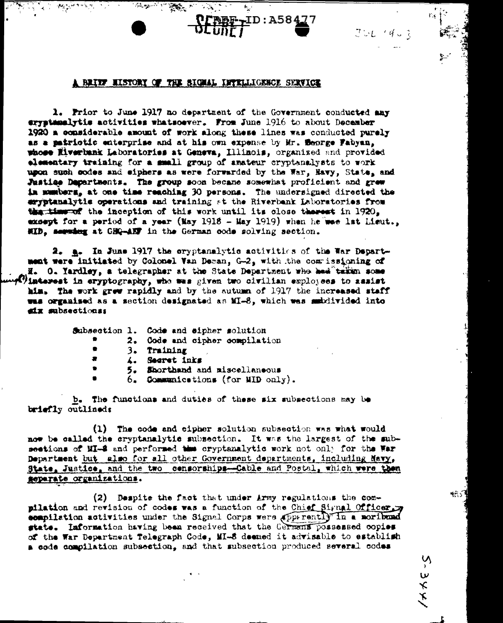## A BRITE HISTORY OF THE SIGNAL INTELLIGENCE SERVICE

ID:A584

1. Prior to June 1917 no department of the Government conducted any cryptmmalytis activities whatsoever. From June 1916 to about December 1920 a considerable amount of work along these lines was conducted purely as a patriotic enterprise and at his own expense by Mr. Seorge Fabyan, whose Eiverbank Laboratories at Geneva, Illinois, organized and provided elementary training for a small group of anateur cryptenalysts to work upon such codes and eiphers as were forwarded by the War, Navy, State, and Justice Departments. The group soon became somewhat proficient and grew in numbers, at one time reaching 30 persons. The undersigned directed the eryptanalytic operations and training at the Riverbank Laboratories from the time of the inception of this work until its close therest in 1920, exsept for a period of a year (May 1918 - May 1919) when he was lat Lieut.. HID, seeming at GHQ-ABF in the German code solving section.

2. a. In June 1917 the cryptanalytic activities of the War Department were initiated by Colonel Van Deman, G-2, with the commissioning of H. O. Yardley, a telegrapher at the State Department who hed taken some *limierest in eryptography, who was given two civilian exployees to assist* him. The work grew rapidly and by the autumn of 1917 the increased staff was organised as a section designated as MI-8, which was subdivided into six subsections:

|   | Subsection 1. Code and eipher solution |
|---|----------------------------------------|
|   | 2. Gode and cipher compilation         |
|   | 3. Training                            |
|   | 4. Secret inks                         |
|   | 5. Shorthand and miscellaneous         |
| ٠ | 6. Communications (for MID only).      |

b. The functions and duties of these six subsections may be briefly outlined:

(1) The code and cipher solution subsection was what would now be called the cryptanalytic subsection. It was the largest of the subsections of MI-2 and performed the cryptanalytic work not only for the War Department but also for all other Government departments, including Mavy, State, Justice, and the two censorships-Cable and Postal, which were then separate organizations.

(2) Despite the fact that under Army regulations the compilation and revision of codes was a function of the Chief Signal Officer. compilation activities under the Signal Corps were apprrently in a moribund state. Information having been received that the Germann possessed copies of the War Department Telegraph Code, MI-8 deemed it advisable to establish a code compilation subsection, and that subsection produced several codes

ر پھ

イメイビーい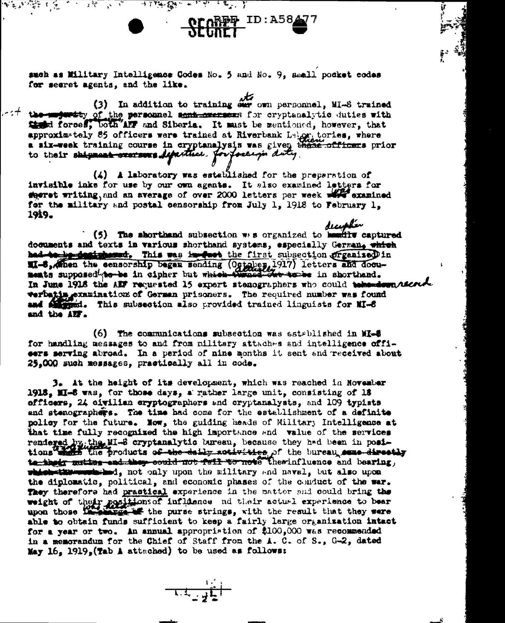such as Military Intelligence Codes No. 5 and No. 9, Small pocket codes for secret agents, and the like.

**READER ID: A58477** 

 $\mathcal{L}_{\mathcal{A}} = \mathcal{L}_{\mathcal{B}} \mathcal{L}_{\mathcal{A}} = \mathcal{L}_{\mathcal{A}} \mathcal{L}_{\mathcal{A}} = \mathcal{L}_{\mathcal{A}} \mathcal{L}_{\mathcal{A}} \mathcal{L}_{\mathcal{A}} = \mathcal{L}_{\mathcal{A}} \mathcal{L}_{\mathcal{A}} = \mathcal{L}_{\mathcal{A}} \mathcal{L}_{\mathcal{A}} = \mathcal{L}_{\mathcal{A}} \mathcal{L}_{\mathcal{A}} = \mathcal{L}_{\mathcal{A}} \mathcal{L}_{\mathcal{A}} = \mathcal{L}_{\mathcal{A}} \mathcal{L}_{\math$ 

聚氧氧嘧啶 机宽

(3) In addition to training our own personnel, MI-8 trained  $\sim$   $^{-1}$  the majority of the personnel semi-exerces for cryptanalytic duties with that forces, both any and Siberia. It must be mentioned, however, that approximately 85 officers were trained at Riverbank Labor, tories, where a six-week training course in cryptanalysis was given these officers prior to their shipment createws department. Jou postery duty.

(4) A laboratory was established for the preparation of invisible inks for use by our own agents. It also examined letters for sheret writing, and an average of over 2000 letters per week wife examined for the military and postal censorship from July 1, 1918 to February 1. 1919.

(5) The shorthand subsection  $\pi$ : s organized to hundity captured documents and texts in various shorthand systems, especially German, which had to be designered. This was in feet the first subsection pressised in WI-6, when the censorship began sending (Ogtober, 1917) letters and documents supposed to be in cipher but which twood out to be in shorthand. In June 1918 the All' requested 15 expert stenographers who could take monday accorde verbating examinations of German prisoners. The required number was found and all ment. This subsection also provided trained linguists for MI-6 and the AUF.

(6) The communications subsection was established in MI-5 for handling messages to and from nilitary attaches and intelligence offieers serving abroad. In a period of nine months it sent and received about 25.000 such messages, practically all in code.

3. At the height of its development, which was reached in November 1918. MI-6 was, for those days, a rather large unit, consisting of 18 officers, 24 civilian cryptographers and cryptanalysts, and 109 typists and stenographers. The time had come for the establishment of a definite policy for the future. Now, the guiding heads of Military Intelligence at that time fully recognized the high importance and value of the services rendered by the MI-8 cryptanalytic bureau, because they had been in positions that the products of the daily notivities of the bureau esse directly to the two could not fell to note theminfluence and bearing, which the membrical , not only upon the military and naval, but also upon the diplomatic, political, and economic phases of the conduct of the war. They therefore had practical experience in the matter and could bring the weight of their positions of influence ad their actual experience to bear upon those incomings. The purse strings, with the result that they were able to obtain funds sufficient to keep a fairly large organization intact for a year or two. An annual appropriation of \$100,000 was recommended in a memorandum for the Chief of Staff from the  $\lambda$ . C. of S., G-2, dated May  $16.1919.$ (Tab A attached) to be used as follows:

 $\frac{1}{\sqrt{1.4} \cdot \frac{1}{1.4}}$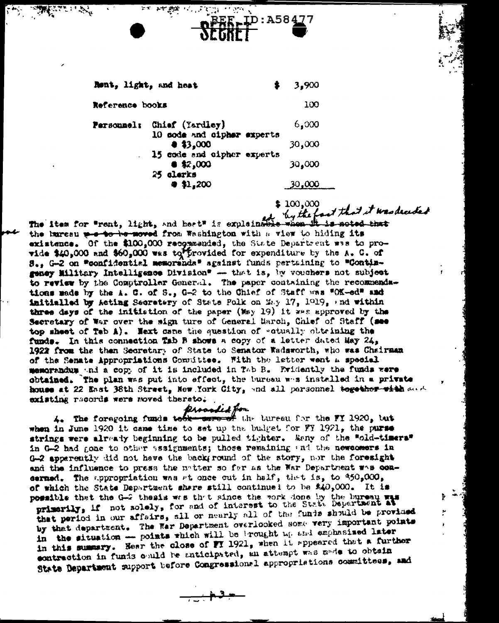| hont, light, and heat                                                                                                                  | 3,900                               |
|----------------------------------------------------------------------------------------------------------------------------------------|-------------------------------------|
| Reference books                                                                                                                        | 100                                 |
| Chief (Yardley)<br>Personnel:<br>10 sode and cipher experts<br>43,000<br>15 code and cipher experts<br>$*2,000$<br>25 qlerks<br>41,200 | 6,000<br>30,000<br>30,000<br>30,000 |

:A584

\$100,000

t that it was dreided by the The item for "rent, light, and heat" is explained the burcau we to be moved from Washington with a view to hiding its existence. Of the \$100,000 recommended, the State Department was to provide \$40,000 and \$60,000 was to frovided for expenditure by the  $k$ . C. of S.. G-2 on "confidential memoranda" against funds pertaining to "Contingeney Military Intelligence Division" --- that is, by vouchers not subject to review by the Comptroller General. The paper containing the recommendations made by the A. C. of S., G-2 to the Chief of Staff was "OK-ed" and imitialled by Acting Secretery of State Polk on May 17, 1919, and within three days of the initistion of the paper (May 19) it was approved by the Secretary of War over the sign ture of General March, Chlef of Staff (see top sheet of Teb A). Next came the question of watually obtrining the funds. In this connection Tab B shows a copy of a letter dated May 24, 1922 from the than Secretary of State to Senator Wadsworth, who was Chairman of the Senate Appropriations Committee. Fith the letter went a special memorradum and a copy of it is included in Tab B. Evidently the funds were obtained. The plan was put into effect, the tureau was installed in a private house at 22 East 38th Street, New York City, and all personnel together with and existing records were moved thereto.

prosaded for 4. The foregoing funds to the care of the turesu for the FY 1920, tut when in June 1920 it came time to set up the budget for FT 1921, the purse strings were already beginning to be pulled tighter. Many of the Wold-timeraw in G-2 had gone to other sssignments; those remaining and the newcomers in  $0-2$  apperently did not have the background of the story, nor the foresight and the influence to press the naturer so far as the War Department was concerned. The appropriation was at once cut in half, that is, to \$50,000. of which the State Department share still continued to be \$40,000. It is possible that the G-2 thesis was that since the work done by the bureau was primerily, if not solely, for and of interest to the State Department at that period in our affairs, all or nearly all of the funds should be provided by that department. The Rar Department overlooked some very important points in the situation -- points which will be brought mp and exphasised later in this summary. Hear the close of FT 1921, when it appeared that a further contraction in funds could be anticipated, an attempt was made to obtain State Department support before Congressional appropriations committees, and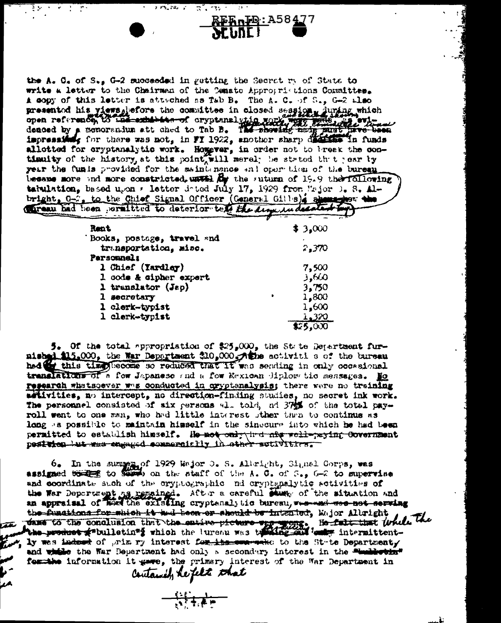the A. C. of S., G-2 succeeded in gutting the Secret ry of State to write a letter to the Chairman of the Cenato Approprietions Committee. A sopy of this letter is attached as Tab B. The A. C. of S., G-2 also presented his views defore the consittee in closed session, during which open reference, to the exhibition of cryptanalytic work with the denoted by a memoranium att ched to Tab B. The showing may must have been impressibl allotted for cryptanalytic work. Hogever, in order not to breek the contimulty of the history, at this point, will merel; he stated that year ty year the funis provided for the saint nance and oper time of the bureau because more and more constricted, unveil By the suturn of 19.9 the rollowing tabulation, based ugon a letter doted July 17, 1929 from Major 1. S. Albright, G-7, to the Chief Signal Officer (General Gills) ; she was the

italia mend

RERnIO: A58477

 $2.55$  ,  $2.5$  ,  $2.5$ 

| Rent                       | \$3,000 |
|----------------------------|---------|
| Books, postage, travel and |         |
| transportation, misc.      | 2,370   |
| Personnels                 |         |
| 1 Chief (Tardley)          | 7,500   |
| 1 code & cipher expert     | 3,600   |
| 1 translator (Jap)         | 3,750   |
| 1 secretary                | 1,800   |
| 1 clerk-typist             | 1,600   |
| 1 clerk-typist             | 1,320   |
|                            | 75,000  |

5. Of the total appropriation of  $25.000$ , the State Department furnished \$15,000, the War Department \$10,000. Athe activiti s of the bureau this time lecome so reduced that If was sending in only occasional **hod di** translations of a for Japaneso and a for Eexican diplom tic mensages. Ho research whatsoever was conducted in cryptenalysis; there were no training artivities, no intercept, no direction-finding studies, no secret ink work. The personnel consisted of six persons all told, ad 375% of the total payroll went to one man, who had little interest other than to continue as long as possible to maintain himself in the sinecure into which he had been permitted to establish himself. He not only ind and well-paying Covernment postuics but must engaged commencially in other sutivitives.

 $6_*$  In the surger of 1929 Wajor 0. S. Albright, Signal Gorps, was<br>assigned to seem on the staff of the A.G. of S., G-2 to supervise and coordinate such of the cryptographic nd cryptspalytic sotivities of the War Department of repaired. After a careful stump of the situation and an appraisal of heat the existing cryptenal, is bureau, we want we not corving the functions for which it had been or should be intented, Major Albright dans to the conclusion that the entire picture very work. He fait that while the the product fabulletina which the tureau was the said test intermittent-We was indeed of prim by interest for its come-seko to the State Departmenty and while the War Department had only a secondary interest in the "indirection" for the information it gave, the primary interest of the War Department in Contained, he felt that

 $-\frac{1}{2}$ 

حمد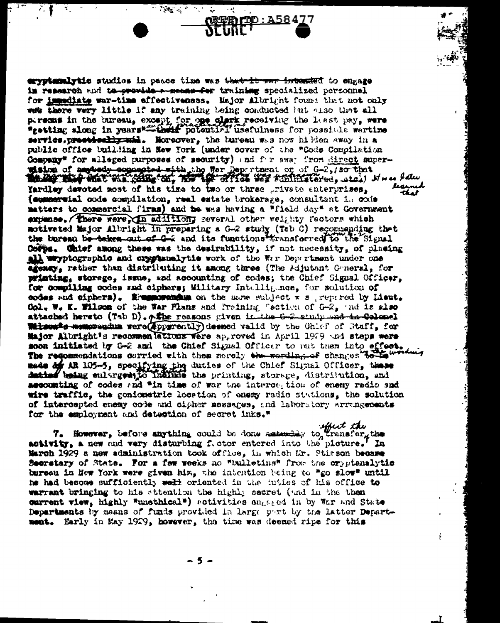eryptamalytic studies in peace time was that it was integrated to engage in research and to provide a means for training specialized personnel for immediate war-time effectiveness. Major Albright found that not only was there wery little if any training being conducted but also that all persons in the bureau, except for one olark receiving the least pay, were "getting along in years" that potential usefulness for possible wartime service, precetted is mad. Moreover, the tureau was now hilden away in a public office building in New York (under cover of the "Code Compilation Company\* for allaged purposes of security) and for swar from direct superwision of ampledy coppeoind with the Boy remember or of G-2, so that Yardley devoted most of his time to two or three priveto enterprises. (semmervial code compilation, real estate brokerage, consultant in code matters to commercial firms) and the was having a "field day" at Government expense. There were in additiony several other weighty factors which motive ted Major Albright in preparing a G-2 study (Teb C) recommending thet the bureau be-teles out of G-2 and its functions transferred to the Signal Coffin. Chief among these was the desirability, if not necessity, of plasing all wayptographic and crystanalytic work of the War Department under one agency, rather than distributing it among three (The Adjutent Guneral, for printing, storage, issue, and accounting of codes; the Chief Signal Officer, for compiling codes and ciphers; Military Intulligunce, for solution of codes and ciphers). Examples and the same subject  $x$  s , repared by Lieut. Col. W. K. Wilson of the War Plans and Praining Cection of G-2, and is also attached hereto (Tab D). Afthe reasons given in the G-2 study wad in Colomel Witness's memorandum were (apparently) deened valid by the Chief of Staff, for Major Albright's recommon lations were approved in April 1929 and steps were soon initiated by G-2 and the Chief Signal Officer to mut them into effect. The requesterions carried with thes morely the wording of changes to the made of AR 105-5, specifying the duties of the Chief Signal Officer, these duties being enlarged to indice the printing, storage, distribution, and accounting of codes and "in time of war the interception of enemy radio and wire traffic, the goniometric location of energ radio stations, the solution of intercepted enemy code and cipher mossages, and laboratory Arrangements for the employment and detection of secret inks."

 $\sim$   $\frac{1}{2}$ 

75 G.C

effect the 7. However, before anything could be done assuming to transfer, activity, a new and very disturbing f. otor entered into the picture. In March 1929 a now administration took office, in which Mr. Stisson became Secretary of State. For a for weeks no "bulletins" from the cryptanalytic bureeu in New York were given him, the intention being to "go slow" until he had become sufficiently welt oriented in the futies of his office to warrant bringing to his attention the highly secret (and in the then current view, highly "unsthical") sotivities engaged in by War and State Departments by means of funds provided in large part by the latter Department. Early in May 1929, however, the time was deemed ripe for this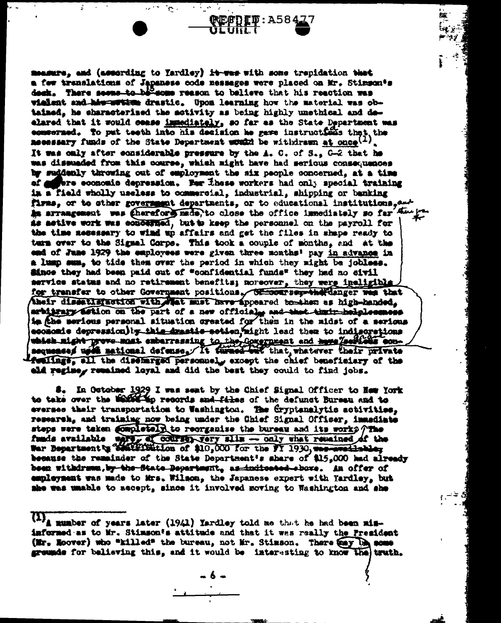measure, and (assording to Yardley) it was with some trepidation that a few translations of Japanese code messages were placed on Mr. Stimmon's desk. There seems to be some reason to balieve that his reaction was vialent and his writer drastic. Upon learning how the material was obtained, he characterized the activity as being highly unethical and dealared that it would cease immediately, so far as the State Department was ecmeerned. To put teeth into his decision he gave instructions that the **Recessary funds of the State Department would be withdrawn at once**  $(1)$ . It was only after considerable pressure by the A. C. of S., G-2 that he was dissuaded from this course, which might have had scrious consequences by suddenly throwing out of employment the six people concerned, at a time of offere economic depression. Her these workers had only special training in a field wholly useless to commercial, industrial, shipping or banking firms, or to sther government departments, or to educational institutions. And ha arrangement was therefore made, to close the office immediately so far Amagement was therefore as astive work was ecudented, but to keep the personnel on the payroll for the time necessary to wind up affairs and get the files in shape ready to turn over to the Signal Corps. This took a couple of months, and at the end of June 1929 the employees were given three months' pay in advance in a lump sum, to tide them over the period in which they might be jobless. since they had been paid out of "confidential funds" they had no sivil service status and no retirement benefits; noreover, they were ineligible for transfer to other Government positions. Of cookreep-the Canger was that their disseting action with what must have appeared tomthem as high-handed. arbitrary astion on the part of a new official and that that helplessmess is fihe serious personal situation created for them in the midst of a serious economis depression) by this drastic ection, hight lead them to indigorations which night prove most embarrassing to the Covernment and have Zeelicis con-Acclings, all the disemarged personnely except the chief beneficiary of the eld regine, remained loyal and did the best they could to find jobs.

**(REFDIT** : A584

 $\mathcal{P}_{\alpha}$  .

8. In October 1929 I was seat by the Chief Signal Officer to Hew York to take over the building records and files of the defunct Bursen and to eversee their transportation to Washington. The Cryptanalytic activities, research, and training now being under the Chief Signal Officer, immediate steps were taken completely to reorganize the bureau and its works  $\gamma$  The funds available were of course, very slim - only what remained of the War Bepartment of Seattle intimetion of \$10,000 for the FT 1930, was meeting because the remainder of the State Department's share of \$15,000 had already been withdrawn, by the State Department, as indicated above. An offer of employment was made to Mrs. Wilson, the Japanese expert with Yardley, but she was umable to accept, since it involved moving to Washington and she

(1) mumber of years later (1941) Yardley told me that he had been mininformed as to Mr. Stimson's attitude and that it was really the President (Mr. Noover) who "killed" the bureau, not Mr. Stimson. There any Un some grounds for believing this, and it would be interesting to know the truth.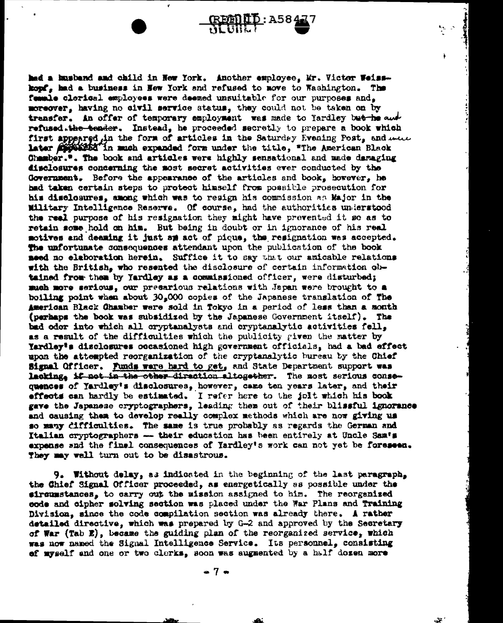had a husband and child in New York. Another employee, Mr. Victor Weisskopf, had a business in New York and refused to move to Washington. The famale clerical exployees were deexed unsuitable for our purposes and. moreover, having no civil service status, they could not be taken on by transfer. in offer of temporary employment was made to Yardley but he and refused.the tender. Instead, he proceeded secretly to prepare a book which first appeared in the form of articles in the Saturday Evening Post, and mun later *finition* in much expanded form under the title, "The American Black Chamber.". The book and articles were highly sensational and made damaging disclosures concerning the most secret activities ever conducted by the Government. Before the appearance of the articles and book, however, he had taken certain steps to protect himself from possible prosecution for his disclosures, among which was to resign his commission as Major in the Military Intelligence Reserve. Of course, had the authorities understood the real purpose of his resignation they might have prevented it so as to retain some hold on him. But being in doubt or in ignorance of his real motives and deaming it just sm act of pique, the resignation was accepted. The unfortunate consequences attendant upon the publication of the book need no elaboration herein. Suffice it to say that our anicable relations with the British, who resented the disclosure of certain information obtained from them by Yardley as a commissioned officer, were disturbed; much more serious, our precarious relations with Japan were brought to a boiling point when about 30,000 copies of the Japanese translation of The American Black Chamber were sold in Tokyo in a period of less than a month (perhaps the book was subsidized by the Japanese Government itself). The bad odor into which all cryptanalysts and cryptanalytic activities fell. as a result of the difficulties which the publicity given the matter by Yardley's disclosures occasioned high government officials, had a bad effect upon the attempted reorganization of the cryptanalytic bureau by the Chief Signal Officer. Funds ware hard to get, and State Department support was lacking, if not in the other direction altogether. The most serious consequences of Yardley's disclosures, however, came ten years later, and their effects can hardly be estimated. I refer here to the joit which his book gave the Japanese cryptographers, leading them out of their blissful ignorance and causing them to develop really complex methods which are now giving us so many difficulties. The same is true probably as regards the German and Italian cryptographers -- their education has been entirely at Uncle Sam's expense snd the final consequences of Yardley's work can not yet be foreseen. They may well turn out to be disastrous.

9. Without delay, as indicated in the beginning of the last paragraph, the Chief Signal Officer proceeded, as energetically as possible under the sironsstances, to carry out the mission assigned to him. The reorganized code and cipher solving section was placed under the War Plans and Training Division, since the code compilation section was already there. A rather detailed directive, which was prepared by G-2 and approved by the Secretary of War (Tab E), became the guiding plan of the reorganized service, which was now named the Signal Intelligence Service. Its personnel, consisting of myself and one or two clerks, soon was augmented by a half dosen more

 $-7 -$ 

٦Į.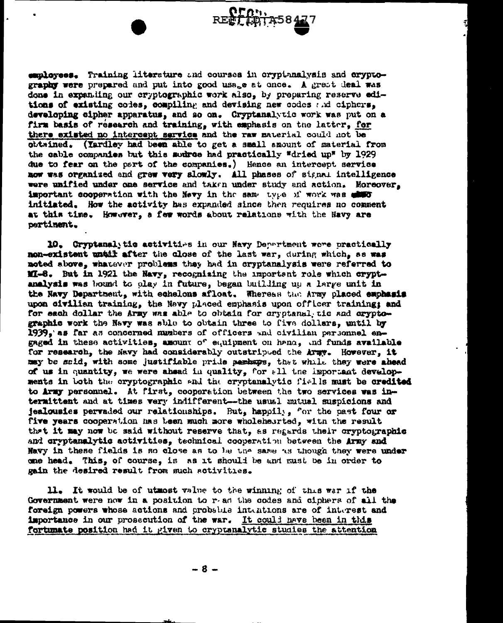employees. Training literature and courses in crypthnalysis and cryptography were prepared and put into good usage at once. A great deal was done in expanding our cryptographic work also, by proparing reserve editions of existing codes, compiling and devising new codes and ciphers, developing cipher apparatus, and so on. Cryptanalytic work was put on a firm basis of research and training, with emphasis on the latter, for there existed no intercept service and the raw material could not be obtained. (Iardley had been able to get a small amount of material from the cable companies but this sudres had practically "dried up" by 1929 due to fear on the part of the companies.) Hence an intercept service now was organized and grew very slowly. All phases of signal intelligence were unified under one service and taken under study and action. Moreover. important cooperation with the Newy in the same type of work was with initiated. How the activity has expanded since then requires no comment at this time. However, a few words about relations with the Navy are pertinent.

REET (41175847

10. Cryptanalytic activities in our Navy Department wore practically non-existent until after the close of the last war, during which, as was noted above, whatever problems they had in cryptanalysis were referred to MI-8. But in 1921 the Navy, recognizing the important role which cryptanalysis was bound to olay in future, began building up a large unit in the Navy Department, with echelons afloat. Whereas the Army placed emphasis upon civilian training, the Nevy placed emphasis upon officer training; and for each dollar the Army was able to obtain for cryptanal tic and cryptographic work the Navy was sble to obtain three to five dollars, until by 1939, as far as concerned numbers of officers and civilian personnel engaged in these activities, amount of equipment on hand, and funds available for research, the Navy had considerably outstriped the Army. However, it may be said, with some justifiable pride perhaps, that while they were ahead of us in quantity, we were ahead in quality, for all the important developments in both the cryptographic and the cryptanalytic fiells must be credited to Army personnel. At first, cooperation between the two services was intermittent and at times very indifferent--the usual sutual suspicions and jealousies pervaded our relationships. But, happily, for the past four or five years cooperation has been much more wholehearted, with the result that it may now be said without reserve that, as regards their cryptographic and cryptanalytic activities, technical cooperation between the Army and Navy in these fields is so close as to be the same as though they were under one head. This, of course, is as it should be and must be in order to gain the desired result from such activities.

11. It would be of utmost value to the winning of this war if the Government were now in a position to r-ad the codes and ciphers of all the foreign powers whose actions and probable intentions are of interest and importance in our prosecution of the war. It could have been in this fortunate position had it given to cryptanalytic studies the attention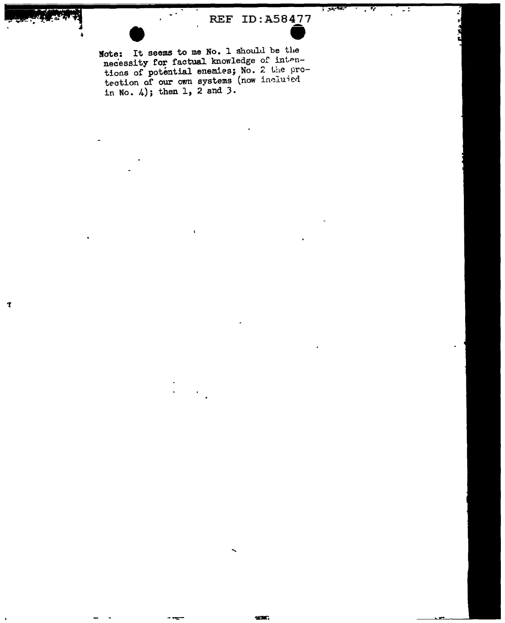## REF ID:A58477

 $, 35.44$ 

Note: It seems to me No. 1 should be the necessity for factual knowledge of intentions of potential enemies; No. 2 the pro-<br>tection of our own systems (now included in No. 4); then 1, 2 and 3.

T

 $\ddot{\phantom{1}}$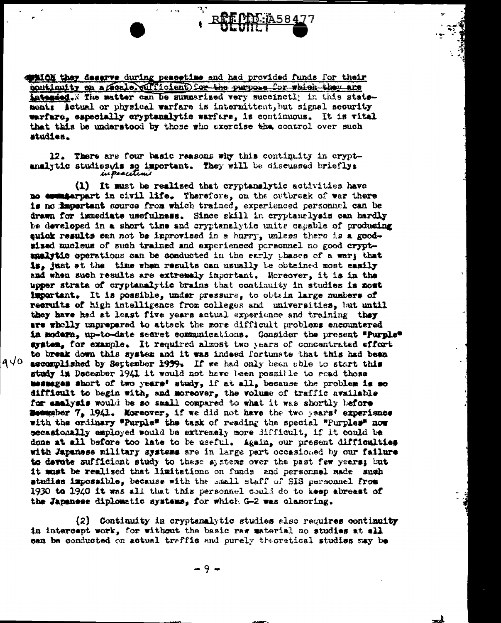**AFAICH they deserve during peacetime and had provided funds for their** continuity on a /scale.pufficient) for the purpose for which they are intended. Y The matter can be summarised very succinctly in this statemont: Actual or physical warfare is intermittent, but signal security warfare, especially cryptanalytic warfare, is continuous. It is vital that this be understood by those who exercise the control over such studies.

.ر

12. There are four basic reasons why this continuity in cryptanalytic studieswis so important. They will be discussed brieflys in pracetimi

(1) It must be realized that cryptanalytic activities have no commiterpart in civil life. Therefore, on the outbreak of war there is no important source from which trained, experienced personnel can be drawn for immediate usefulness. Since skill in cryptanclysis can hardly be developed in a short time and cryptanalytic units capable of producing euidk results can not be improvised in a hurry, unless there is a goodsised nucleus of such trained and experienced personnel no good cryptanalytic operations can be conducted in the early thases of a war; that is. just st the time when results can usually le obtained most easily and when such results are extremely important. Moreover, it is in the upper strata of cryptanalytic brains that continuity in studies is most important. It is possible, under pressure, to obtain large musbers of recruits of high intelligence from colleges and universities, but until they have had at least five years actual experience and training they are whelly unprepared to attack the more difficult problems encountered in modern, up-to-date secret communications. Gonsider the present "Purple" system, for example. It required almost two years of concentrated effort to break down this system and it was indeed fortunate that this had been  $9\sqrt{0}$ ascomplished by September 1939. If we had only been sble to start this study in December 1941 it would not have been possible to read those messages short of two years' study, if at all, because the problem is so difficult to begin with, and moreover, the volume of traffic available for saalysis would be so small compared to what it was shortly before **Boungber 7, 1941. Moreover, if we did not have the two years' experience** with the ordinary "Purple" the task of reading the special "Purples" now occasionally employed would be extremely more difficult, if it could be done at all before too late to be useful. Again, our present difficulties with Japanese military systems are in large part occasioned by our failure to devote sufficient study to these systems over the past few years; but it must be realized that limitations on funds and personnel made such studies impossible, because with the small staff of SIS personnel from 1930 to 1940 it was all that this personnel could do to keep abreast of the Japanese diplomatic systems, for which G-2 was clamoring.

(2) Continuity in cryptanalytic studies also requires continuity in intercept work, for without the basic raw unterial no studies at all can be conducted on actual traffic and purely theoretical studies may be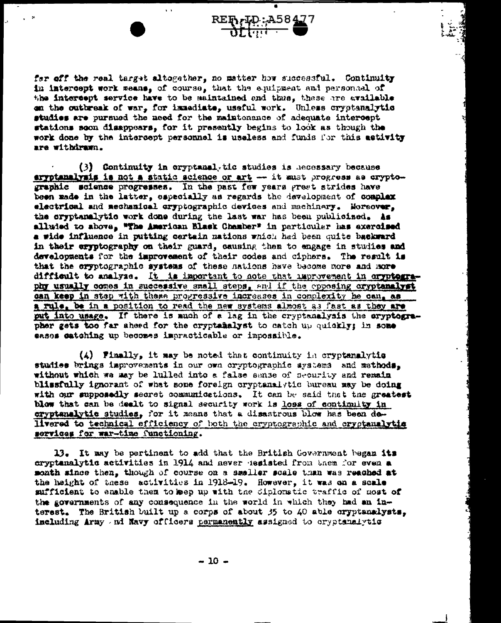far off the real target altogather, no matter how successful. Continuity in intercept work weans, of course, that the equipment and personaal of the intercept service have to be maintained and thus, these are available on the outbreak of war, for immediate, useful work. Unless cryptenalytic studies are pursued the need for the maintenance of adequate intercept stations soon disappears, for it presently begins to look as though the work done by the intercept personnel is useless and funds for this activity are withdrawn.

 $\overline{\bullet}$ 

 $\frac{RE_{11}}{M}$   $\frac{10}{100}$   $\frac{127}{100}$ 

(3) Continuity in cryptanal tic studies is hecessary because eryptanalysis is not a static science or art --- it must progress as cryptographic science progresses. In the past few years great strides have been made in the latter, sapecially as regards the development of complex electrical and mechanical cryptographic devices and machinery. Moreover, the cryptanalytic work done during the last war has been publicised. As alluded to above, "The American Black Chamber" in particular has exercised a wide influence in putting certain nations which had been quite backward in their eryptography on their guard, causing them to engage in studies and developments for the improvement of their codes and ciphers. The result is that the cryptographic systems of these nations have become nore and more difficult to analyze. It is important to note that improvement in cryptography usually comes in successive small steps, and if the opposing cryptanalyst can keep in step with these progressive increases in complexity he can, as a rule, be in a position to read the new systems almost as fast as they are put into usage. If there is much of a lag in the cryptenalysis the cryptographer gets too far aheed for the cryptanalyst to catch up quickly; in some sases satching up becomes impracticable or impossible.

 $(4)$  Finally, it may be noted that continuity in cryptenalytic studies brings isprovements in our own cryptographic systems and methods. without which wa may be lulled into a false sense of security and remain blissfully ignorant of what some foreign oryptanalytic bureau may be doing with our supposedly secret communications. It can be said that the greatest blow that can be dealt to signal security work is loss of continuity in cryptanalytic studies, for it means that a disastrous blow has been delivered to technical efficiency of both the cryptographic and cryptanalytic services for war-time functioning.

13. It may be pertinent to add that the British Government began its cryptanalytic activities in 1914 and never tesisted from them for even a month since then, though of course on a smaller scale than was reached at the height of these activities in 1918-19. However, it was on a scale sufficient to enable them to meep up with the diplomatic traffic of most of the governments of any consequence in the world in which they had an interest. The British built up a corps of about 35 to 40 able cryptsmalysts, including Army ad Navy officers permanently assigned to cryptanalytic

 $-10 -$